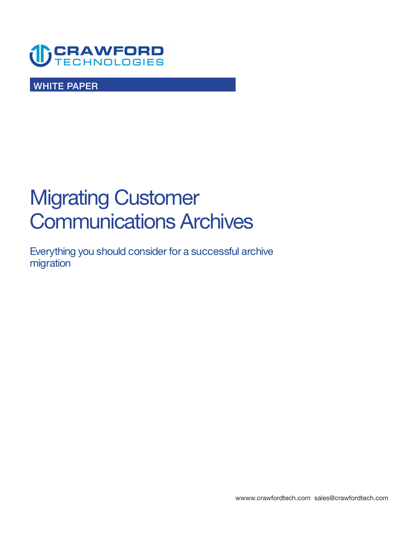

**WHITE PAPER** 

# **Migrating Customer Communications Archives**

**Everything you should consider for a successful archive migration**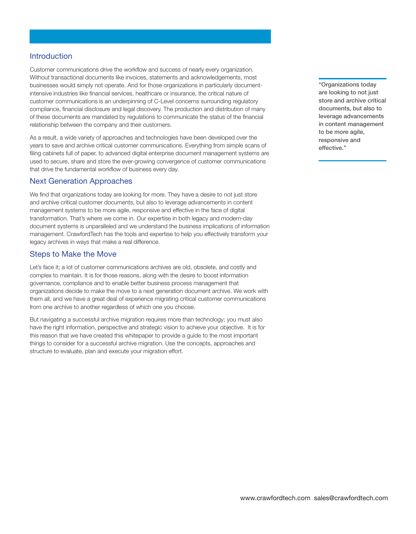## **Introduction**

**Customer communications drive the workflow and success of nearly every organization. Without transactional documents like invoices, statements and acknowledgements, most businesses would simply not operate. And for those organizations in particularly documentintensive industries like financial services, healthcare or insurance, the critical nature of customer communications is an underpinning of C-Level concerns surrounding regulatory compliance, financial disclosure and legal discovery. The production and distribution of many of these documents are mandated by regulations to communicate the status of the financial relationship between the company and their customers.** 

**As a result, a wide variety of approaches and technologies have been developed over the years to save and archive critical customer communications. Everything from simple scans of filing cabinets full of paper, to advanced digital enterprise document management systems are used to secure, share and store the ever-growing convergence of customer communications that drive the fundamental workflow of business every day.** 

## **Next Generation Approaches**

**We find that organizations today are looking for more. They have a desire to not just store and archive critical customer documents, but also to leverage advancements in content management systems to be more agile, responsive and effective in the face of digital transformation. That's where we come in. Our expertise in both legacy and modern-day document systems is unparalleled and we understand the business implications of information management. CrawfordTech has the tools and expertise to help you effectively transform your legacy archives in ways that make a real difference.** 

## **Steps to Make the Move**

**Let's face it; a lot of customer communications archives are old, obsolete, and costly and complex to maintain. It is for those reasons, along with the desire to boost information governance, compliance and to enable better business process management that organizations decide to make the move to a next generation document archive. We work with them all, and we have a great deal of experience migrating critical customer communications from one archive to another regardless of which one you choose.** 

**But navigating a successful archive migration requires more than technology; you must also have the right information, perspective and strategic vision to achieve your objective. It is for this reason that we have created this whitepaper to provide a guide to the most important things to consider for a successful archive migration. Use the concepts, approaches and structure to evaluate, plan and execute your migration effort.** 

**"Organizations today are looking to not just store and archive critical documents, but also to leverage advancements in content management to be more agile, responsive and effective."**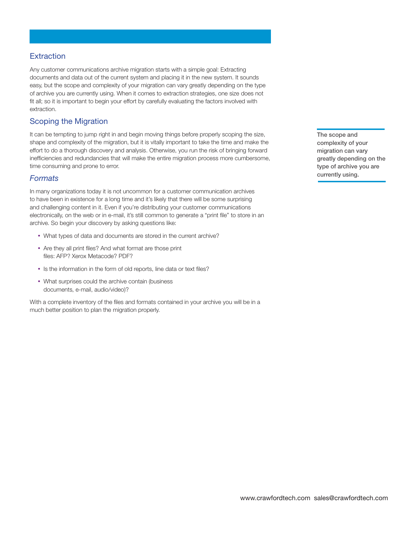## **Extraction**

**Any customer communications archive migration starts with a simple goal: Extracting documents and data out of the current system and placing it in the new system. It sounds easy, but the scope and complexity of your migration can vary greatly depending on the type of archive you are currently using. When it comes to extraction strategies, one size does not fit all; so it is important to begin your effort by carefully evaluating the factors involved with extraction.** 

## **Scoping the Migration**

**It can be tempting to jump right in and begin moving things before properly scoping the size, shape and complexity of the migration, but it is vitally important to take the time and make the effort to do a thorough discovery and analysis. Otherwise, you run the risk of bringing forward inefficiencies and redundancies that will make the entire migration process more cumbersome, time consuming and prone to error.** 

#### **Formats**

**In many organizations today it is not uncommon for a customer communication archives to have been in existence for a long time and it's likely that there will be some surprising and challenging content in it. Even if you're distributing your customer communications electronically, on the web or in e-mail, it's still common to generate a "print file" to store in an archive. So begin your discovery by asking questions like:** 

- **What types of data and documents are stored in the current archive?**
- **Are they all print files? And what format are those print files: AFP? Xerox Metacode? PDF?**
- **Is the information in the form of old reports, line data or text files?**
- **What surprises could the archive contain (business documents, e-mail, audio/video)?**

**With a complete inventory of the files and formats contained in your archive you will be in a much better position to plan the migration properly.** 

**The scope and complexity of your migration can vary greatly depending on the type of archive you are currently using.**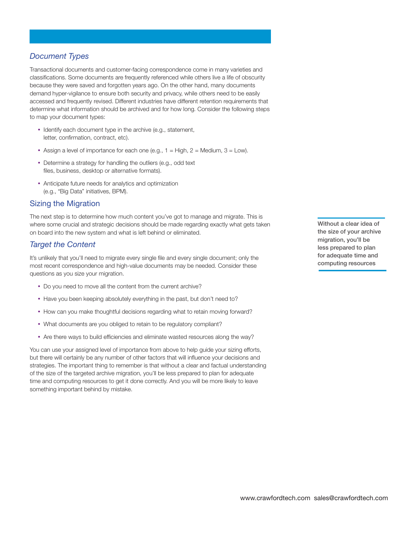# **Document Types**

**Transactional documents and customer-facing correspondence come in many varieties and classifications. Some documents are frequently referenced while others live a life of obscurity because they were saved and forgotten years ago. On the other hand, many documents demand hyper-vigilance to ensure both security and privacy, while others need to be easily accessed and frequently revised. Different industries have different retention requirements that determine what information should be archived and for how long. Consider the following steps to map your document types:** 

- **Identify each document type in the archive (e.g., statement, letter, confirmation, contract, etc).**
- **Assign a level of importance for each one (e.g., 1 = High, 2 = Medium, 3 = Low).**
- **Determine a strategy for handling the outliers (e.g., odd text files, business, desktop or alternative formats).**
- **Anticipate future needs for analytics and optimization (e.g., "Big Data" initiatives, BPM).**

## **Sizing the Migration**

**The next step is to determine how much content you've got to manage and migrate. This is where some crucial and strategic decisions should be made regarding exactly what gets taken on board into the new system and what is left behind or eliminated.** 

## **Target the Content**

**It's unlikely that you'll need to migrate every single file and every single document; only the most recent correspondence and high-value documents may be needed. Consider these questions as you size your migration.** 

- **Do you need to move all the content from the current archive?**
- **Have you been keeping absolutely everything in the past, but don't need to?**
- **How can you make thoughtful decisions regarding what to retain moving forward?**
- **What documents are you obliged to retain to be regulatory compliant?**
- **Are there ways to build efficiencies and eliminate wasted resources along the way?**

**You can use your assigned level of importance from above to help guide your sizing efforts, but there will certainly be any number of other factors that will influence your decisions and strategies. The important thing to remember is that without a clear and factual understanding of the size of the targeted archive migration, you'll be less prepared to plan for adequate time and computing resources to get it done correctly. And you will be more likely to leave something important behind by mistake.** 

**Without a clear idea of the size of your archive migration, you'll be less prepared to plan for adequate time and computing resources**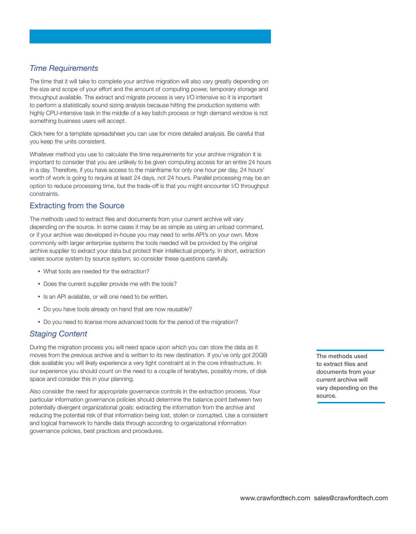# **Time Requirements**

**The time that it will take to complete your archive migration will also vary greatly depending on the size and scope of your effort and the amount of computing power, temporary storage and throughput available. The extract and migrate process is very I/O intensive so it is important to perform a statistically sound sizing analysis because hitting the production systems with highly CPU-intensive task in the middle of a key batch process or high demand window is not something business users will accept.** 

**Click here for a template spreadsheet you can use for more detailed analysis. Be careful that you keep the units consistent.** 

**Whatever method you use to calculate the time requirements for your archive migration it is important to consider that you are unlikely to be given computing access for an entire 24 hours in a day. Therefore, if you have access to the mainframe for only one hour per day, 24 hours' worth of work is going to require at least 24 days, not 24 hours. Parallel processing may be an option to reduce processing time, but the trade-off is that you might encounter I/O throughput constraints.** 

## **Extracting from the Source**

**The methods used to extract files and documents from your current archive will vary depending on the source. In some cases it may be as simple as using an unload command, or if your archive was developed in-house you may need to write API's on your own. More commonly with larger enterprise systems the tools needed will be provided by the original archive supplier to extract your data but protect their intellectual property. In short, extraction varies source system by source system, so consider these questions carefully.** 

- **What tools are needed for the extraction?**
- **Does the current supplier provide me with the tools?**
- **Is an API available, or will one need to be written.**
- **Do you have tools already on hand that are now reusable?**
- **Do you need to license more advanced tools for the period of the migration?**

## **Staging Content**

**During the migration process you will need space upon which you can store the data as it moves from the previous archive and is written to its new destination. If you've only got 20GB disk available you will likely experience a very tight constraint at in the core infrastructure. In our experience you should count on the need to a couple of terabytes, possibly more, of disk space and consider this in your planning.** 

**Also consider the need for appropriate governance controls in the extraction process. Your particular information governance policies should determine the balance point between two potentially divergent organizational goals: extracting the information from the archive and reducing the potential risk of that information being lost, stolen or corrupted. Use a consistent and logical framework to handle data through according to organizational information governance policies, best practices and procedures.** 

**The methods used to extract files and documents from your current archive will vary depending on the source.**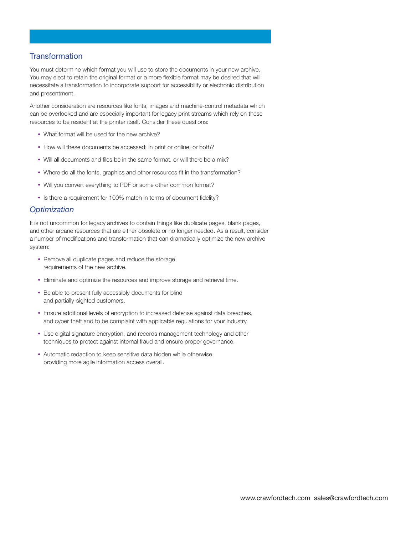## **Transformation**

**You must determine which format you will use to store the documents in your new archive. You may elect to retain the original format or a more flexible format may be desired that will necessitate a transformation to incorporate support for accessibility or electronic distribution and presentment.** 

**Another consideration are resources like fonts, images and machine-control metadata which can be overlooked and are especially important for legacy print streams which rely on these resources to be resident at the printer itself. Consider these questions:** 

- **What format will be used for the new archive?**
- **How will these documents be accessed; in print or online, or both?**
- **Will all documents and files be in the same format, or will there be a mix?**
- **Where do all the fonts, graphics and other resources fit in the transformation?**
- **Will you convert everything to PDF or some other common format?**
- **Is there a requirement for 100% match in terms of document fidelity?**

## **Optimization**

**It is not uncommon for legacy archives to contain things like duplicate pages, blank pages, and other arcane resources that are either obsolete or no longer needed. As a result, consider a number of modifications and transformation that can dramatically optimize the new archive system:** 

- **Remove all duplicate pages and reduce the storage requirements of the new archive.**
- **Eliminate and optimize the resources and improve storage and retrieval time.**
- **Be able to present fully accessibly documents for blind and partially-sighted customers.**
- **Ensure additional levels of encryption to increased defense against data breaches, and cyber theft and to be complaint with applicable regulations for your industry.**
- **Use digital signature encryption, and records management technology and other techniques to protect against internal fraud and ensure proper governance.**
- **Automatic redaction to keep sensitive data hidden while otherwise providing more agile information access overall.**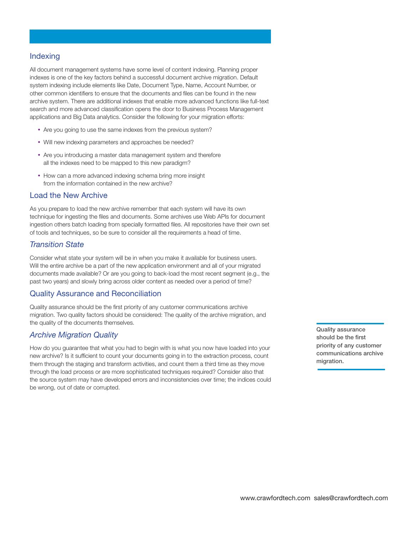## **Indexing**

**All document management systems have some level of content indexing. Planning proper indexes is one of the key factors behind a successful document archive migration. Default system indexing include elements like Date, Document Type, Name, Account Number, or other common identifiers to ensure that the documents and files can be found in the new archive system. There are additional indexes that enable more advanced functions like full-text search and more advanced classification opens the door to Business Process Management applications and Big Data analytics. Consider the following for your migration efforts:** 

- **Are you going to use the same indexes from the previous system?**
- **Will new indexing parameters and approaches be needed?**
- **Are you introducing a master data management system and therefore all the indexes need to be mapped to this new paradigm?**
- **How can a more advanced indexing schema bring more insight from the information contained in the new archive?**

## **Load the New Archive**

**As you prepare to load the new archive remember that each system will have its own technique for ingesting the files and documents. Some archives use Web APIs for document ingestion others batch loading from specially formatted files. All repositories have their own set of tools and techniques, so be sure to consider all the requirements a head of time.** 

## **Transition State**

**Consider what state your system will be in when you make it available for business users. Will the entire archive be a part of the new application environment and all of your migrated documents made available? Or are you going to back-load the most recent segment (e.g., the past two years) and slowly bring across older content as needed over a period of time?** 

## **Quality Assurance and Reconciliation**

**Quality assurance should be the first priority of any customer communications archive migration. Two quality factors should be considered: The quality of the archive migration, and the quality of the documents themselves.** 

## **Archive Migration Quality**

**How do you guarantee that what you had to begin with is what you now have loaded into your new archive? Is it sufficient to count your documents going in to the extraction process, count them through the staging and transform activities, and count them a third time as they move through the load process or are more sophisticated techniques required? Consider also that the source system may have developed errors and inconsistencies over time; the indices could be wrong, out of date or corrupted.** 

**Quality assurance should be the first priority of any customer communications archive migration.**